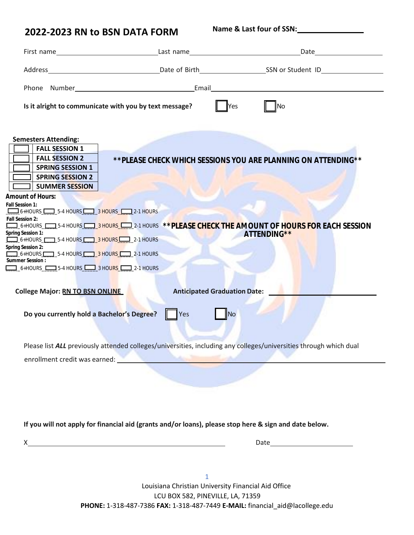**Name & Last four of SSN:**

|                                                                                                                                      | First name Last name Last name Last name Last name Last name Last name Last name Last name Last name Last name Last name Last name Last name Last name Last name Last name Last name Last name Last name Last name Last name L |                                                                                                                   |
|--------------------------------------------------------------------------------------------------------------------------------------|--------------------------------------------------------------------------------------------------------------------------------------------------------------------------------------------------------------------------------|-------------------------------------------------------------------------------------------------------------------|
|                                                                                                                                      |                                                                                                                                                                                                                                |                                                                                                                   |
|                                                                                                                                      |                                                                                                                                                                                                                                |                                                                                                                   |
|                                                                                                                                      | Is it alright to communicate with you by text message?                                                                                                                                                                         | Yes<br><b>No</b>                                                                                                  |
|                                                                                                                                      |                                                                                                                                                                                                                                |                                                                                                                   |
| <b>Semesters Attending:</b>                                                                                                          |                                                                                                                                                                                                                                |                                                                                                                   |
| <b>FALL SESSION 1</b>                                                                                                                |                                                                                                                                                                                                                                |                                                                                                                   |
| <b>FALL SESSION 2</b>                                                                                                                |                                                                                                                                                                                                                                | ** PLEASE CHECK WHICH SESSIONS YOU ARE PLANNING ON ATTENDING**                                                    |
| <b>SPRING SESSION 1</b>                                                                                                              |                                                                                                                                                                                                                                |                                                                                                                   |
| <b>SPRING SESSION 2</b><br><b>SUMMER SESSION</b>                                                                                     |                                                                                                                                                                                                                                |                                                                                                                   |
| Amount of Hours:                                                                                                                     |                                                                                                                                                                                                                                |                                                                                                                   |
| Fall Session 1:                                                                                                                      |                                                                                                                                                                                                                                |                                                                                                                   |
| 6+HOURS 5-4 HOURS 3 HOURS 2-1 HOURS                                                                                                  |                                                                                                                                                                                                                                |                                                                                                                   |
| Fall Session 2:                                                                                                                      |                                                                                                                                                                                                                                | 6+HOURS_CODIS-4 HOURS_CODIS-18HOURS_CODIS-1 HOURS **PLEASE CHECK THE AMOUNT OF HOURS FOR EACH SESSION             |
| Spring Session 1:                                                                                                                    |                                                                                                                                                                                                                                | ATTENDING**                                                                                                       |
| $\boxed{\phantom{2} \phantom{2}}$ 6+HOURS $\phantom{2}$ 5-4 HOURS $\phantom{2}$ 3 HOURS $\phantom{2}$ 2-1 HOURS<br>Spring Session 2: |                                                                                                                                                                                                                                |                                                                                                                   |
| $\boxed{\phantom{a}}$ 6+HOURS $\phantom{aa}$ 5-4 HOURS $\phantom{aa}$ 3 HOURS $\phantom{aa}$ 2-1 HOURS                               |                                                                                                                                                                                                                                |                                                                                                                   |
| Summer Session:<br>$\Box$ 6+HOURS $\Box$ 5-4 HOURS $\Box$ 3 HOURS $\Box$ 2-1 HOURS                                                   |                                                                                                                                                                                                                                |                                                                                                                   |
|                                                                                                                                      |                                                                                                                                                                                                                                |                                                                                                                   |
|                                                                                                                                      |                                                                                                                                                                                                                                |                                                                                                                   |
| <b>College Major: RN TO BSN ONLINE</b>                                                                                               |                                                                                                                                                                                                                                | <b>Anticipated Graduation Date:</b>                                                                               |
|                                                                                                                                      |                                                                                                                                                                                                                                |                                                                                                                   |
| Do you currently hold a Bachelor's Degree?                                                                                           | Yes                                                                                                                                                                                                                            | No                                                                                                                |
|                                                                                                                                      |                                                                                                                                                                                                                                |                                                                                                                   |
|                                                                                                                                      |                                                                                                                                                                                                                                |                                                                                                                   |
|                                                                                                                                      |                                                                                                                                                                                                                                | Please list ALL previously attended colleges/universities, including any colleges/universities through which dual |
|                                                                                                                                      | enrollment credit was earned: <b>with a set of the controllment</b> credit was earned:                                                                                                                                         |                                                                                                                   |
|                                                                                                                                      |                                                                                                                                                                                                                                |                                                                                                                   |
|                                                                                                                                      |                                                                                                                                                                                                                                |                                                                                                                   |
|                                                                                                                                      |                                                                                                                                                                                                                                |                                                                                                                   |

**If you will not apply for financial aid (grants and/or loans), please stop here & sign and date below.**

| x |  |
|---|--|
|   |  |

1 Louisiana Christian University Financial Aid Office LCU BOX 582, PINEVILLE, LA, 71359 **PHONE:** 1-318-487-7386 **FAX:** 1-318-487-7449 **E-MAIL:** [financial\\_aid@lacollege.edu](mailto:financial_aid@lacollege.edu)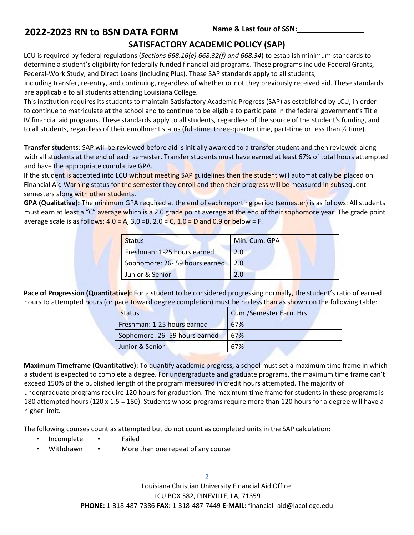## **SATISFACTORY ACADEMIC POLICY (SAP)**

LCU is required by federal regulations (*Sections 668.16(e).668.32(f) and 668.34*) to establish minimum standards to determine a student's eligibility for federally funded financial aid programs. These programs include Federal Grants, Federal-Work Study, and Direct Loans (including Plus). These SAP standards apply to all students,

including transfer, re-entry, and continuing, regardless of whether or not they previously received aid. These standards are applicable to all students attending Louisiana College.

This institution requires its students to maintain Satisfactory Academic Progress (SAP) as established by LCU, in order to continue to matriculate at the school and to continue to be eligible to participate in the federal government's Title IV financial aid programs. These standards apply to all students, regardless of the source of the student's funding, and to all students, regardless of their enrollment status (full-time, three-quarter time, part-time or less than ½ time).

**Transfer students**: SAP will be reviewed before aid is initially awarded to a transfer student and then reviewed along with all students at the end of each semester. Transfer students must have earned at least 67% of total hours attempted and have the appropriate cumulative GPA.

If the student is accepted into LCU without meeting SAP guidelines then the student will automatically be placed on Financial Aid Warning status for the semester they enroll and then their progress will be measured in subsequent semesters along with other students.

**GPA (Qualitative):** The minimum GPA required at the end of each reporting period (semester) is as follows: All students must earn at least a "C" average which is a 2.0 grade point average at the end of their sophomore year. The grade point average scale is as follows:  $4.0 = A$ ,  $3.0 = B$ ,  $2.0 = C$ ,  $1.0 = D$  and  $0.9$  or below = F.

| <b>Status</b>                 | Min. Cum. GPA |
|-------------------------------|---------------|
| Freshman: 1-25 hours earned   | 2.0           |
| Sophomore: 26-59 hours earned | 2.0           |
| Junior & Senior               |               |

Pace of Progression (Quantitative): For a student to be considered progressing normally, the student's ratio of earned hours to attempted hours (or pace toward degree completion) must be no less than as shown on the following table:

| <b>Status</b>                 | <b>Cum./Semester Earn. Hrs</b> |
|-------------------------------|--------------------------------|
| Freshman: 1-25 hours earned   | 67%                            |
| Sophomore: 26-59 hours earned | 67%                            |
| Junior & Senior               | 67%                            |

**Maximum Timeframe (Quantitative):** To quantify academic progress, a school must set a maximum time frame in which a student is expected to complete a degree. For undergraduate and graduate programs, the maximum time frame can't exceed 150% of the published length of the program measured in credit hours attempted. The majority of undergraduate programs require 120 hours for graduation. The maximum time frame for students in these programs is 180 attempted hours (120 x 1.5 = 180). Students whose programs require more than 120 hours for a degree will have a higher limit.

The following courses count as attempted but do not count as completed units in the SAP calculation:

- Incomplete Failed
- Withdrawn More than one repeat of any course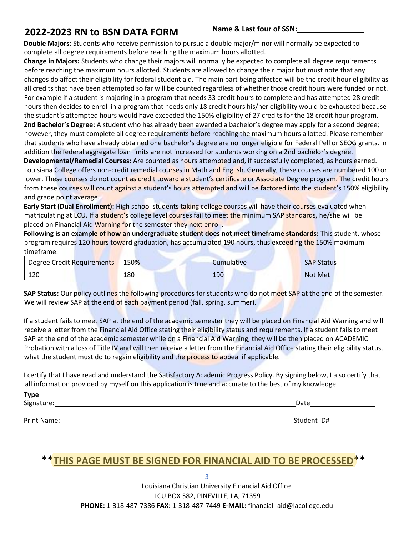**Name & Last four of SSN:**

**Double Majors**: Students who receive permission to pursue a double major/minor will normally be expected to complete all degree requirements before reaching the maximum hours allotted.

**Change in Majors:** Students who change their majors will normally be expected to complete all degree requirements before reaching the maximum hours allotted. Students are allowed to change their major but must note that any changes do affect their eligibility for federal student aid. The main part being affected will be the credit hour eligibility as all credits that have been attempted so far will be counted regardless of whether those credit hours were funded or not. For example if a student is majoring in a program that needs 33 credit hours to complete and has attempted 28 credit hours then decides to enroll in a program that needs only 18 credit hours his/her eligibility would be exhausted because the student's attempted hours would have exceeded the 150% eligibility of 27 credits for the 18 credit hour program. **2nd Bachelor's Degree:** A student who has already been awarded a bachelor's degree may apply for a second degree; however, they must complete all degree requirements before reaching the maximum hours allotted. Please remember that students who have already obtained one bachelor's degree are no longer eligible for Federal Pell or SEOG grants. In addition the federal aggregate loan limits are not increased for students working on a 2nd bachelor's degree. **Developmental/Remedial Courses:** Are counted as hours attempted and, if successfully completed, as hours earned. Louisiana College offers non-credit remedial courses in Math and English. Generally, these courses are numbered 100 or lower. These courses do not count as credit toward a student's certificate or Associate Degree program. The credit hours from these courses will count against a student's hours attempted and will be factored into the student's 150% eligibility and grade point average.

**Early Start (Dual Enrollment):** High school students taking college courses will have their courses evaluated when matriculating at LCU. If a student's college level courses fail to meet the minimum SAP standards, he/she will be placed on Financial Aid Warning for the semester they next enroll.

**Following is an example of how an undergraduate student does not meet timeframe standards:** This student, whose program requires 120 hours toward graduation, has accumulated 190 hours, thus exceeding the 150% maximum timeframe:

| Degree Credit Requirements | 150% | Cumulative | <b>SAP Status</b> |
|----------------------------|------|------------|-------------------|
| 120                        | 180  | 190        | <b>Not Met</b>    |

**SAP Status:** Our policy outlines the following procedures for students who do not meet SAP at the end of the semester. We will review SAP at the end of each payment period (fall, spring, summer).

If a student fails to meet SAP at the end of the academic semester they will be placed on Financial Aid Warning and will receive a letter from the Financial Aid Office stating their eligibility status and requirements. If a student fails to meet SAP at the end of the academic semester while on a Financial Aid Warning, they will be then placed on ACADEMIC Probation with a loss of Title IV and will then receive a letter from the Financial Aid Office stating their eligibility status, what the student must do to regain eligibility and the process to appeal if applicable.

I certify that I have read and understand the Satisfactory Academic Progress Policy. By signing below, I also certify that all information provided by myself on this application is true and accurate to the best of my knowledge.

| <b>Type</b> |             |
|-------------|-------------|
| Signature:  | Date        |
|             |             |
| Print Name: | Student ID# |

# \*\***THIS PAGE MUST BE SIGNED FOR FINANCIAL AID TO BE PROCESSED**\*\*

3 Louisiana Christian University Financial Aid Office LCU BOX 582, PINEVILLE, LA, 71359 **PHONE:** 1-318-487-7386 **FAX:** 1-318-487-7449 **E-MAIL:** [financial\\_aid@lacollege.edu](mailto:financial_aid@lacollege.edu)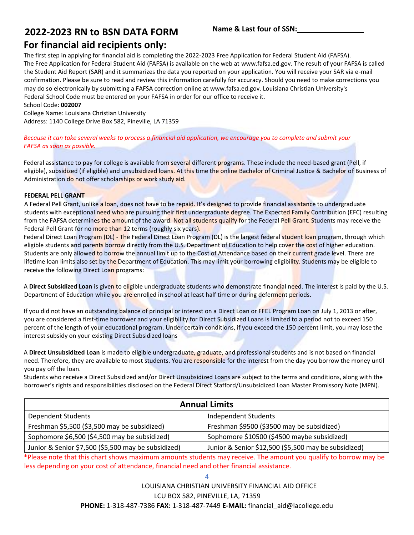### **Name & Last four of SSN:**

## **For financial aid recipients only:**

The first step in applying for financial aid is completing the 2022-2023 Free Application for Federal Student Aid (FAFSA). The Free Application for Federal Student Aid (FAFSA) is available on the web at [www.fafsa.ed.gov.](http://www.fafsa.ed.gov/) The result of your FAFSA is called the Student Aid Report (SAR) and it summarizes the data you reported on your application. You will receive your SAR via e-mail confirmation. Please be sure to read and review this information carefully for accuracy. Should you need to make corrections you may do so electronically by submitting a FAFSA correction online at [www.fafsa.ed.gov.](http://www.fafsa.ed.gov/) Louisiana Christian University's Federal School Code must be entered on your FAFSA in order for our office to receive it. School Code: **002007**

College Name: Louisiana Christian University Address: 1140 College Drive Box 582, Pineville, LA 71359

*Because it can take several weeks to process a financial aid application, we encourage you to complete and submit your FAFSA as soon as possible.*

Federal assistance to pay for college is available from several different programs. These include the need-based grant (Pell, if eligible), subsidized (if eligible) and unsubsidized loans. At this time the online Bachelor of Criminal Justice & Bachelor of Business of Administration do not offer scholarships or work study aid.

#### **FEDERAL PELL GRANT**

A Federal Pell Grant, unlike a loan, does not have to be repaid. It's designed to provide financial assistance to undergraduate students with exceptional need who are pursuing their first undergraduate degree. The Expected Family Contribution (EFC) resulting from the FAFSA determines the amount of the award. Not all students qualify for the Federal Pell Grant. Students may receive the Federal Pell Grant for no more than 12 terms (roughly six years).

Federal Direct Loan Program (DL) - The Federal Direct Loan Program (DL) is the largest federal student loan program, through which eligible students and parents borrow directly from the U.S. Department of Education to help cover the cost of higher education. Students are only allowed to borrow the annual limit up to the Cost of Attendance based on their current grade level. There are lifetime loan limits also set by the Department of Education. This may limit your borrowing eligibility. Students may be eligible to receive the following Direct Loan programs:

A **Direct Subsidized Loan** is given to eligible undergraduate students who demonstrate financial need. The interest is paid by the U.S. Department of Education while you are enrolled in school at least half time or during deferment periods.

If you did not have an outstanding balance of principal or interest on a Direct Loan or FFEL Program Loan on July 1, 2013 or after, you are considered a first-time borrower and your eligibility for Direct Subsidized Loans is limited to a period not to exceed 150 percent of the length of your educational program. Under certain conditions, if you exceed the 150 percent limit, you may lose the interest subsidy on your existing Direct Subsidized loans

A **Direct Unsubsidized Loan** is made to eligible undergraduate, graduate, and professional students and is not based on financial need. Therefore, they are available to most students. You are responsible for the interest from the day you borrow the money until you pay off the loan.

Students who receive a Direct Subsidized and/or Direct Unsubsidized Loans are subject to the terms and conditions, along with the borrower's rights and responsibilities disclosed on the Federal Direct Stafford/Unsubsidized Loan Master Promissory Note (MPN).

| <b>Annual Limits</b>                                |                                                      |  |
|-----------------------------------------------------|------------------------------------------------------|--|
| <b>Dependent Students</b>                           | Independent Students                                 |  |
| Freshman \$5,500 (\$3,500 may be subsidized)        | Freshman \$9500 (\$3500 may be subsidized)           |  |
| Sophomore \$6,500 (\$4,500 may be subsidized)       | Sophomore \$10500 (\$4500 maybe subsidized)          |  |
| Junior & Senior \$7,500 (\$5,500 may be subsidized) | Junior & Senior \$12,500 (\$5,500 may be subsidized) |  |

\*Please note that this chart shows maximum amounts students may receive. The amount you qualify to borrow may be less depending on your cost of attendance, financial need and other financial assistance.

4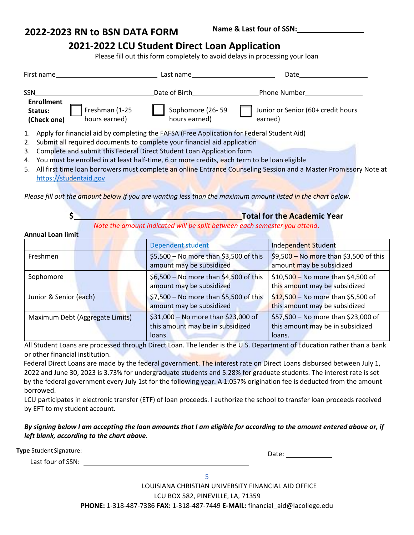## **2021-2022 LCU Student Direct Loan Application**

Please fill out this form completely to avoid delays in processing your loan

|            | First name                                                                                      | Last name                         | Date                                                                                                                 |  |
|------------|-------------------------------------------------------------------------------------------------|-----------------------------------|----------------------------------------------------------------------------------------------------------------------|--|
| <b>SSN</b> |                                                                                                 | Date of Birth                     | Phone Number                                                                                                         |  |
|            | <b>Enrollment</b><br>Freshman (1-25<br>Status:<br>hours earned)<br>(Check one)                  | Sophomore (26-59<br>hours earned) | Junior or Senior (60+ credit hours<br>earned)                                                                        |  |
|            | 1. Apply for financial aid by completing the FAFSA (Free Application for Federal Student Aid)   |                                   |                                                                                                                      |  |
|            | Submit all required documents to complete your financial aid application<br>2.                  |                                   |                                                                                                                      |  |
| 3.         | Complete and submit this Federal Direct Student Loan Application form                           |                                   |                                                                                                                      |  |
|            | 4. You must be enrolled in at least half-time, 6 or more credits, each term to be loan eligible |                                   |                                                                                                                      |  |
|            |                                                                                                 |                                   | 5. All first time loan borrowers must complete an online Entrance Counseling Session and a Master Promissory Note at |  |

[https://studentaid.gov](https://studentloans.gov/)

*Please fill out the amount below if you are wanting less than the maximum amount listed in the chart below.*

| <b>Total for the Academic Year</b>                                        |
|---------------------------------------------------------------------------|
| Note the amount indicated will be split between each semester you attend. |

**Annual Loan limit**

|                                 | <b>Dependent student</b>                                                          | <b>Independent Student</b>                                                        |
|---------------------------------|-----------------------------------------------------------------------------------|-----------------------------------------------------------------------------------|
| Freshmen                        | \$5,500 - No more than \$3,500 of this<br>amount may be subsidized                | \$9,500 - No more than \$3,500 of this<br>amount may be subsidized                |
| Sophomore                       | \$6,500 - No more than \$4,500 of this<br>amount may be subsidized                | \$10,500 - No more than \$4,500 of<br>this amount may be subsidized               |
| Junior & Senior (each)          | \$7,500 - No more than \$5,500 of this<br>amount may be subsidized                | $$12,500 -$ No more than \$5,500 of<br>this amount may be subsidized              |
| Maximum Debt (Aggregate Limits) | \$31,000 - No more than \$23,000 of<br>this amount may be in subsidized<br>loans. | \$57,500 - No more than \$23,000 of<br>this amount may be in subsidized<br>loans. |

All Student Loans are processed through Direct Loan. The lender is the U.S. Department of Education rather than a bank or other financial institution.

Federal Direct Loans are made by the federal government. The interest rate on Direct Loans disbursed between July 1, 2022 and June 30, 2023 is 3.73% for undergraduate students and 5.28% for graduate students. The interest rate is set by the federal government every July 1st for the following year. A 1.057% origination fee is deducted from the amount borrowed.

LCU participates in electronic transfer (ETF) of loan proceeds. I authorize the school to transfer loan proceeds received by EFT to my student account.

### *By signing below I am accepting the loan amounts that I am eligible for according to the amount entered above or, if left blank, according to the chart above.*

**Type** Student Signature:

Date:

Last four of SSN:

5

LOUISIANA CHRISTIAN UNIVERSITY FINANCIAL AID OFFICE

LCU BOX 582, PINEVILLE, LA, 71359

**PHONE:** 1-318-487-7386 **FAX:** 1-318-487-7449 **E-MAIL:** [financial\\_aid@lacollege.edu](mailto:financial_aid@lacollege.edu)